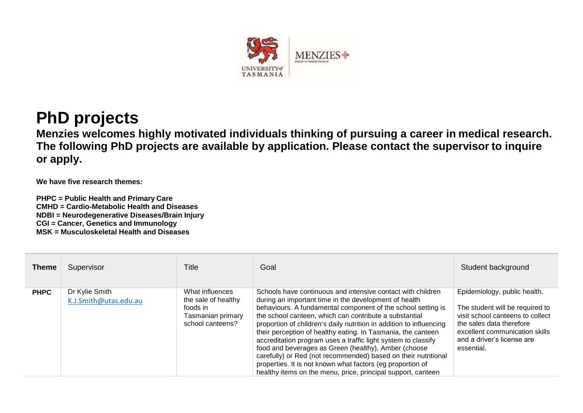

## **PhD projects**

**Menzies welcomes highly motivated individuals thinking of pursuing a career in medical research. The following PhD projects are available by application. Please contact the supervisor to inquire or apply.**

**We have five research themes:**

**PHPC = Public Health and Primary Care CMHD = Cardio-Metabolic [Health and](http://www.menzies.utas.edu.au/information.php?Doo=ViewData&type=Theme&ID=135) Diseases NDBI = [Neurodegenerative Diseases/Brain](http://www.menzies.utas.edu.au/information.php?Doo=ViewData&type=Theme&ID=137) Injury CGI = [Cancer, Genetics](http://www.menzies.utas.edu.au/information.php?Doo=ViewData&type=Theme&ID=138) and Immunology MSK = [Musculoskeletal Health and](http://www.menzies.utas.edu.au/information.php?Doo=ViewData&type=Theme&ID=136) Diseases**

| <b>Theme</b> | Supervisor                              | Title                                                                                       | Goal                                                                                                                                                                                                                                                                                                                                                                                                                                                                                                                                                                                                                                                                                                           | Student background                                                                                                                                                                                            |
|--------------|-----------------------------------------|---------------------------------------------------------------------------------------------|----------------------------------------------------------------------------------------------------------------------------------------------------------------------------------------------------------------------------------------------------------------------------------------------------------------------------------------------------------------------------------------------------------------------------------------------------------------------------------------------------------------------------------------------------------------------------------------------------------------------------------------------------------------------------------------------------------------|---------------------------------------------------------------------------------------------------------------------------------------------------------------------------------------------------------------|
| <b>PHPC</b>  | Dr Kylie Smith<br>K.J.Smith@utas.edu.au | What influences<br>the sale of healthy<br>foods in<br>Tasmanian primary<br>school canteens? | Schools have continuous and intensive contact with children<br>during an important time in the development of health<br>behaviours. A fundamental component of the school setting is<br>the school canteen, which can contribute a substantial<br>proportion of children's daily nutrition in addition to influencing<br>their perception of healthy eating. In Tasmania, the canteen<br>accreditation program uses a traffic light system to classify<br>food and beverages as Green (healthy), Amber (choose<br>carefully) or Red (not recommended) based on their nutritional<br>properties. It is not known what factors (eg proportion of<br>healthy items on the menu, price, principal support, canteen | Epidemiology, public health.<br>The student will be required to<br>visit school canteens to collect<br>the sales data therefore<br>excellent communication skills<br>and a driver's license are<br>essential. |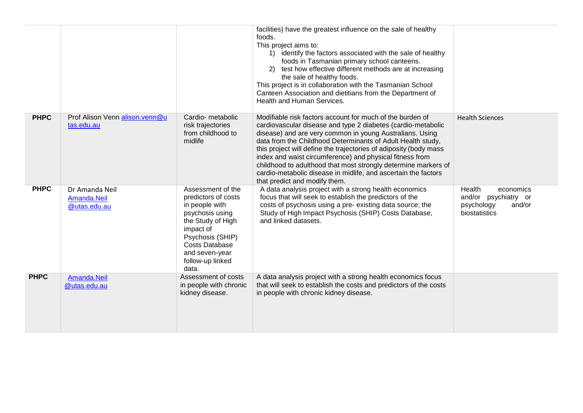|             |                                               |                                                                                                                                                                                                             | facilities) have the greatest influence on the sale of healthy<br>foods.<br>This project aims to:<br>1) identify the factors associated with the sale of healthy<br>foods in Tasmanian primary school canteens.<br>2) test how effective different methods are at increasing<br>the sale of healthy foods.<br>This project is in collaboration with the Tasmanian School<br>Canteen Association and dietitians from the Department of<br>Health and Human Services.                                                                                        |                                                                                      |
|-------------|-----------------------------------------------|-------------------------------------------------------------------------------------------------------------------------------------------------------------------------------------------------------------|------------------------------------------------------------------------------------------------------------------------------------------------------------------------------------------------------------------------------------------------------------------------------------------------------------------------------------------------------------------------------------------------------------------------------------------------------------------------------------------------------------------------------------------------------------|--------------------------------------------------------------------------------------|
| <b>PHPC</b> | Prof Alison Venn alison.venn@u<br>tas.edu.au  | Cardio-metabolic<br>risk trajectories<br>from childhood to<br>midlife                                                                                                                                       | Modifiable risk factors account for much of the burden of<br>cardiovascular disease and type 2 diabetes (cardio-metabolic<br>disease) and are very common in young Australians. Using<br>data from the Childhood Determinants of Adult Health study,<br>this project will define the trajectories of adiposity (body mass<br>index and waist circumference) and physical fitness from<br>childhood to adulthood that most strongly determine markers of<br>cardio-metabolic disease in midlife, and ascertain the factors<br>that predict and modify them. | <b>Health Sciences</b>                                                               |
| <b>PHPC</b> | Dr Amanda Neil<br>Amanda.Neil<br>@utas.edu.au | Assessment of the<br>predictors of costs<br>in people with<br>psychosis using<br>the Study of High<br>impact of<br>Psychosis (SHIP)<br><b>Costs Database</b><br>and seven-year<br>follow-up linked<br>data. | A data analysis project with a strong health economics<br>focus that will seek to establish the predictors of the<br>costs of psychosis using a pre-existing data source; the<br>Study of High Impact Psychosis (SHIP) Costs Database,<br>and linked datasets.                                                                                                                                                                                                                                                                                             | Health<br>economics<br>and/or psychiatry or<br>psychology<br>and/or<br>biostatistics |
| <b>PHPC</b> | Amanda.Neil<br>@utas.edu.au                   | Assessment of costs<br>in people with chronic<br>kidney disease.                                                                                                                                            | A data analysis project with a strong health economics focus<br>that will seek to establish the costs and predictors of the costs<br>in people with chronic kidney disease.                                                                                                                                                                                                                                                                                                                                                                                |                                                                                      |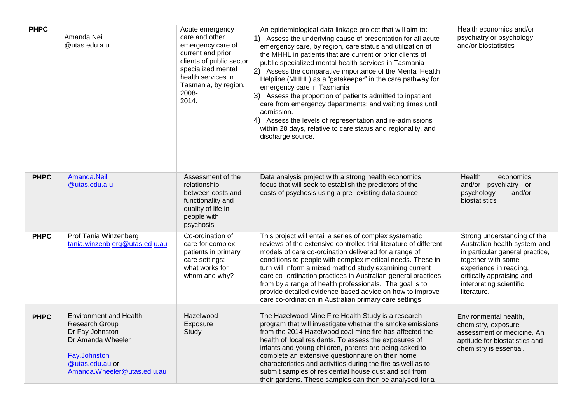| <b>PHPC</b> | Amanda.Neil<br>@utas.edu.a u                                                                                                                              | Acute emergency<br>care and other<br>emergency care of<br>current and prior<br>clients of public sector<br>specialized mental<br>health services in<br>Tasmania, by region,<br>2008-<br>2014. | An epidemiological data linkage project that will aim to:<br>1) Assess the underlying cause of presentation for all acute<br>emergency care, by region, care status and utilization of<br>the MHHL in patients that are current or prior clients of<br>public specialized mental health services in Tasmania<br>2) Assess the comparative importance of the Mental Health<br>Helpline (MHHL) as a "gatekeeper" in the care pathway for<br>emergency care in Tasmania<br>3) Assess the proportion of patients admitted to inpatient<br>care from emergency departments; and waiting times until<br>admission.<br>4) Assess the levels of representation and re-admissions<br>within 28 days, relative to care status and regionality, and<br>discharge source. | Health economics and/or<br>psychiatry or psychology<br>and/or biostatistics                                                                                                                                           |
|-------------|-----------------------------------------------------------------------------------------------------------------------------------------------------------|-----------------------------------------------------------------------------------------------------------------------------------------------------------------------------------------------|---------------------------------------------------------------------------------------------------------------------------------------------------------------------------------------------------------------------------------------------------------------------------------------------------------------------------------------------------------------------------------------------------------------------------------------------------------------------------------------------------------------------------------------------------------------------------------------------------------------------------------------------------------------------------------------------------------------------------------------------------------------|-----------------------------------------------------------------------------------------------------------------------------------------------------------------------------------------------------------------------|
| <b>PHPC</b> | Amanda.Neil<br>@utas.edu.a u                                                                                                                              | Assessment of the<br>relationship<br>between costs and<br>functionality and<br>quality of life in<br>people with<br>psychosis                                                                 | Data analysis project with a strong health economics<br>focus that will seek to establish the predictors of the<br>costs of psychosis using a pre-existing data source                                                                                                                                                                                                                                                                                                                                                                                                                                                                                                                                                                                        | Health<br>economics<br>and/or psychiatry or<br>psychology<br>and/or<br>biostatistics                                                                                                                                  |
| <b>PHPC</b> | Prof Tania Winzenberg<br>tania.winzenb erg@utas.ed u.au                                                                                                   | Co-ordination of<br>care for complex<br>patients in primary<br>care settings:<br>what works for<br>whom and why?                                                                              | This project will entail a series of complex systematic<br>reviews of the extensive controlled trial literature of different<br>models of care co-ordination delivered for a range of<br>conditions to people with complex medical needs. These in<br>turn will inform a mixed method study examining current<br>care co- ordination practices in Australian general practices<br>from by a range of health professionals. The goal is to<br>provide detailed evidence based advice on how to improve<br>care co-ordination in Australian primary care settings.                                                                                                                                                                                              | Strong understanding of the<br>Australian health system and<br>in particular general practice,<br>together with some<br>experience in reading,<br>critically appraising and<br>interpreting scientific<br>literature. |
| <b>PHPC</b> | <b>Environment and Health</b><br>Research Group<br>Dr Fay Johnston<br>Dr Amanda Wheeler<br>Fay.Johnston<br>@utas.edu.au or<br>Amanda.Wheeler@utas.ed u.au | Hazelwood<br>Exposure<br>Study                                                                                                                                                                | The Hazelwood Mine Fire Health Study is a research<br>program that will investigate whether the smoke emissions<br>from the 2014 Hazelwood coal mine fire has affected the<br>health of local residents. To assess the exposures of<br>infants and young children, parents are being asked to<br>complete an extensive questionnaire on their home<br>characteristics and activities during the fire as well as to<br>submit samples of residential house dust and soil from<br>their gardens. These samples can then be analysed for a                                                                                                                                                                                                                       | Environmental health,<br>chemistry, exposure<br>assessment or medicine. An<br>aptitude for biostatistics and<br>chemistry is essential.                                                                               |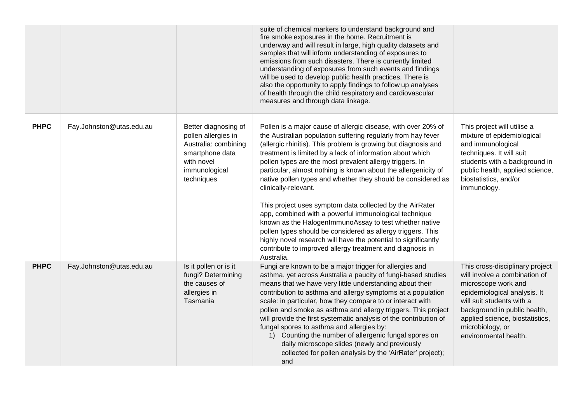|             |                          |                                                                                                                                     | suite of chemical markers to understand background and<br>fire smoke exposures in the home. Recruitment is<br>underway and will result in large, high quality datasets and<br>samples that will inform understanding of exposures to<br>emissions from such disasters. There is currently limited<br>understanding of exposures from such events and findings<br>will be used to develop public health practices. There is<br>also the opportunity to apply findings to follow up analyses<br>of health through the child respiratory and cardiovascular<br>measures and through data linkage.                                                                                                                                                                                                                                                                                |                                                                                                                                                                                                                                                                      |
|-------------|--------------------------|-------------------------------------------------------------------------------------------------------------------------------------|-------------------------------------------------------------------------------------------------------------------------------------------------------------------------------------------------------------------------------------------------------------------------------------------------------------------------------------------------------------------------------------------------------------------------------------------------------------------------------------------------------------------------------------------------------------------------------------------------------------------------------------------------------------------------------------------------------------------------------------------------------------------------------------------------------------------------------------------------------------------------------|----------------------------------------------------------------------------------------------------------------------------------------------------------------------------------------------------------------------------------------------------------------------|
| <b>PHPC</b> | Fay.Johnston@utas.edu.au | Better diagnosing of<br>pollen allergies in<br>Australia: combining<br>smartphone data<br>with novel<br>immunological<br>techniques | Pollen is a major cause of allergic disease, with over 20% of<br>the Australian population suffering regularly from hay fever<br>(allergic rhinitis). This problem is growing but diagnosis and<br>treatment is limited by a lack of information about which<br>pollen types are the most prevalent allergy triggers. In<br>particular, almost nothing is known about the allergenicity of<br>native pollen types and whether they should be considered as<br>clinically-relevant.<br>This project uses symptom data collected by the AirRater<br>app, combined with a powerful immunological technique<br>known as the HalogenImmunoAssay to test whether native<br>pollen types should be considered as allergy triggers. This<br>highly novel research will have the potential to significantly<br>contribute to improved allergy treatment and diagnosis in<br>Australia. | This project will utilise a<br>mixture of epidemiological<br>and immunological<br>techniques. It will suit<br>students with a background in<br>public health, applied science,<br>biostatistics, and/or<br>immunology.                                               |
| <b>PHPC</b> | Fay.Johnston@utas.edu.au | Is it pollen or is it<br>fungi? Determining<br>the causes of<br>allergies in<br>Tasmania                                            | Fungi are known to be a major trigger for allergies and<br>asthma, yet across Australia a paucity of fungi-based studies<br>means that we have very little understanding about their<br>contribution to asthma and allergy symptoms at a population<br>scale: in particular, how they compare to or interact with<br>pollen and smoke as asthma and allergy triggers. This project<br>will provide the first systematic analysis of the contribution of<br>fungal spores to asthma and allergies by:<br>1) Counting the number of allergenic fungal spores on<br>daily microscope slides (newly and previously<br>collected for pollen analysis by the 'AirRater' project);<br>and                                                                                                                                                                                            | This cross-disciplinary project<br>will involve a combination of<br>microscope work and<br>epidemiological analysis. It<br>will suit students with a<br>background in public health,<br>applied science, biostatistics,<br>microbiology, or<br>environmental health. |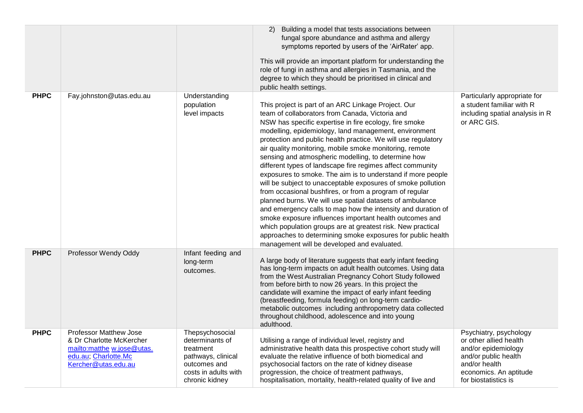|             |                                                                                                                                        |                                                                                                                                 | 2) Building a model that tests associations between<br>fungal spore abundance and asthma and allergy<br>symptoms reported by users of the 'AirRater' app.<br>This will provide an important platform for understanding the<br>role of fungi in asthma and allergies in Tasmania, and the<br>degree to which they should be prioritised in clinical and<br>public health settings.                                                                                                                                                                                                                                                                                                                                                                                                                                                                                                                                                                                                                                                        |                                                                                                                                                                    |
|-------------|----------------------------------------------------------------------------------------------------------------------------------------|---------------------------------------------------------------------------------------------------------------------------------|------------------------------------------------------------------------------------------------------------------------------------------------------------------------------------------------------------------------------------------------------------------------------------------------------------------------------------------------------------------------------------------------------------------------------------------------------------------------------------------------------------------------------------------------------------------------------------------------------------------------------------------------------------------------------------------------------------------------------------------------------------------------------------------------------------------------------------------------------------------------------------------------------------------------------------------------------------------------------------------------------------------------------------------|--------------------------------------------------------------------------------------------------------------------------------------------------------------------|
| <b>PHPC</b> | Fay.johnston@utas.edu.au                                                                                                               | Understanding<br>population<br>level impacts                                                                                    | This project is part of an ARC Linkage Project. Our<br>team of collaborators from Canada, Victoria and<br>NSW has specific expertise in fire ecology, fire smoke<br>modelling, epidemiology, land management, environment<br>protection and public health practice. We will use regulatory<br>air quality monitoring, mobile smoke monitoring, remote<br>sensing and atmospheric modelling, to determine how<br>different types of landscape fire regimes affect community<br>exposures to smoke. The aim is to understand if more people<br>will be subject to unacceptable exposures of smoke pollution<br>from occasional bushfires, or from a program of regular<br>planned burns. We will use spatial datasets of ambulance<br>and emergency calls to map how the intensity and duration of<br>smoke exposure influences important health outcomes and<br>which population groups are at greatest risk. New practical<br>approaches to determining smoke exposures for public health<br>management will be developed and evaluated. | Particularly appropriate for<br>a student familiar with R<br>including spatial analysis in R<br>or ARC GIS.                                                        |
| <b>PHPC</b> | Professor Wendy Oddy                                                                                                                   | Infant feeding and<br>long-term<br>outcomes.                                                                                    | A large body of literature suggests that early infant feeding<br>has long-term impacts on adult health outcomes. Using data<br>from the West Australian Pregnancy Cohort Study followed<br>from before birth to now 26 years. In this project the<br>candidate will examine the impact of early infant feeding<br>(breastfeeding, formula feeding) on long-term cardio-<br>metabolic outcomes including anthropometry data collected<br>throughout childhood, adolescence and into young<br>adulthood.                                                                                                                                                                                                                                                                                                                                                                                                                                                                                                                                   |                                                                                                                                                                    |
| <b>PHPC</b> | <b>Professor Matthew Jose</b><br>& Dr Charlotte McKercher<br>mailto:matthe w.jose@utas.<br>edu.au; Charlotte.Mc<br>Kercher@utas.edu.au | Thepsychosocial<br>determinants of<br>treatment<br>pathways, clinical<br>outcomes and<br>costs in adults with<br>chronic kidney | Utilising a range of individual level, registry and<br>administrative health data this prospective cohort study will<br>evaluate the relative influence of both biomedical and<br>psychosocial factors on the rate of kidney disease<br>progression, the choice of treatment pathways,<br>hospitalisation, mortality, health-related quality of live and                                                                                                                                                                                                                                                                                                                                                                                                                                                                                                                                                                                                                                                                                 | Psychiatry, psychology<br>or other allied health<br>and/or epidemiology<br>and/or public health<br>and/or health<br>economics. An aptitude<br>for biostatistics is |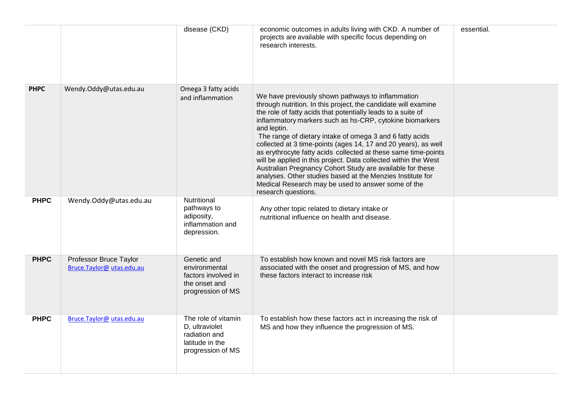|             |                                                    | disease (CKD)                                                                                  | economic outcomes in adults living with CKD. A number of<br>projects are available with specific focus depending on<br>research interests.                                                                                                                                                                                                                                                                                                                                                                                                                                                                                                                                                                                                | essential. |
|-------------|----------------------------------------------------|------------------------------------------------------------------------------------------------|-------------------------------------------------------------------------------------------------------------------------------------------------------------------------------------------------------------------------------------------------------------------------------------------------------------------------------------------------------------------------------------------------------------------------------------------------------------------------------------------------------------------------------------------------------------------------------------------------------------------------------------------------------------------------------------------------------------------------------------------|------------|
| <b>PHPC</b> | Wendy.Oddy@utas.edu.au                             | Omega 3 fatty acids<br>and inflammation                                                        | We have previously shown pathways to inflammation<br>through nutrition. In this project, the candidate will examine<br>the role of fatty acids that potentially leads to a suite of<br>inflammatory markers such as hs-CRP, cytokine biomarkers<br>and leptin.<br>The range of dietary intake of omega 3 and 6 fatty acids<br>collected at 3 time-points (ages 14, 17 and 20 years), as well<br>as erythrocyte fatty acids collected at these same time-points<br>will be applied in this project. Data collected within the West<br>Australian Pregnancy Cohort Study are available for these<br>analyses. Other studies based at the Menzies Institute for<br>Medical Research may be used to answer some of the<br>research questions. |            |
| <b>PHPC</b> | Wendy.Oddy@utas.edu.au                             | Nutritional<br>pathways to<br>adiposity,<br>inflammation and<br>depression.                    | Any other topic related to dietary intake or<br>nutritional influence on health and disease.                                                                                                                                                                                                                                                                                                                                                                                                                                                                                                                                                                                                                                              |            |
| <b>PHPC</b> | Professor Bruce Taylor<br>Bruce.Taylor@utas.edu.au | Genetic and<br>environmental<br>factors involved in<br>the onset and<br>progression of MS      | To establish how known and novel MS risk factors are<br>associated with the onset and progression of MS, and how<br>these factors interact to increase risk                                                                                                                                                                                                                                                                                                                                                                                                                                                                                                                                                                               |            |
| <b>PHPC</b> | Bruce.Taylor@utas.edu.au                           | The role of vitamin<br>D, ultraviolet<br>radiation and<br>latitude in the<br>progression of MS | To establish how these factors act in increasing the risk of<br>MS and how they influence the progression of MS.                                                                                                                                                                                                                                                                                                                                                                                                                                                                                                                                                                                                                          |            |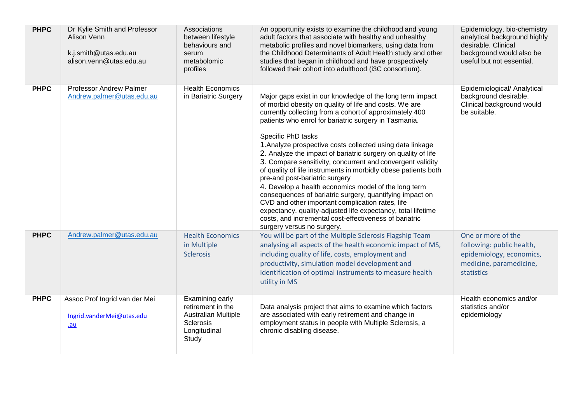| <b>PHPC</b> | Dr Kylie Smith and Professor<br>Alison Venn<br>k.j.smith@utas.edu.au<br>alison.venn@utas.edu.au | Associations<br>between lifestyle<br>behaviours and<br>serum<br>metabolomic<br>profiles                  | An opportunity exists to examine the childhood and young<br>adult factors that associate with healthy and unhealthy<br>metabolic profiles and novel biomarkers, using data from<br>the Childhood Determinants of Adult Health study and other<br>studies that began in childhood and have prospectively<br>followed their cohort into adulthood (i3C consortium).                                                                                                                                                                                                                                                                                                                                                                                                                                                                                                                             | Epidemiology, bio-chemistry<br>analytical background highly<br>desirable. Clinical<br>background would also be<br>useful but not essential. |
|-------------|-------------------------------------------------------------------------------------------------|----------------------------------------------------------------------------------------------------------|-----------------------------------------------------------------------------------------------------------------------------------------------------------------------------------------------------------------------------------------------------------------------------------------------------------------------------------------------------------------------------------------------------------------------------------------------------------------------------------------------------------------------------------------------------------------------------------------------------------------------------------------------------------------------------------------------------------------------------------------------------------------------------------------------------------------------------------------------------------------------------------------------|---------------------------------------------------------------------------------------------------------------------------------------------|
| <b>PHPC</b> | <b>Professor Andrew Palmer</b><br>Andrew.palmer@utas.edu.au                                     | <b>Health Economics</b><br>in Bariatric Surgery                                                          | Major gaps exist in our knowledge of the long term impact<br>of morbid obesity on quality of life and costs. We are<br>currently collecting from a cohort of approximately 400<br>patients who enrol for bariatric surgery in Tasmania.<br>Specific PhD tasks<br>1. Analyze prospective costs collected using data linkage<br>2. Analyze the impact of bariatric surgery on quality of life<br>3. Compare sensitivity, concurrent and convergent validity<br>of quality of life instruments in morbidly obese patients both<br>pre-and post-bariatric surgery<br>4. Develop a health economics model of the long term<br>consequences of bariatric surgery, quantifying impact on<br>CVD and other important complication rates, life<br>expectancy, quality-adjusted life expectancy, total lifetime<br>costs, and incremental cost-effectiveness of bariatric<br>surgery versus no surgery. | Epidemiological/ Analytical<br>background desirable.<br>Clinical background would<br>be suitable.                                           |
| <b>PHPC</b> | Andrew.palmer@utas.edu.au                                                                       | <b>Health Economics</b><br>in Multiple<br><b>Sclerosis</b>                                               | You will be part of the Multiple Sclerosis Flagship Team<br>analysing all aspects of the health economic impact of MS,<br>including quality of life, costs, employment and<br>productivity, simulation model development and<br>identification of optimal instruments to measure health<br>utility in MS                                                                                                                                                                                                                                                                                                                                                                                                                                                                                                                                                                                      | One or more of the<br>following: public health,<br>epidemiology, economics,<br>medicine, paramedicine,<br>statistics                        |
| <b>PHPC</b> | Assoc Prof Ingrid van der Mei<br>Ingrid.vanderMei@utas.edu<br>$au$                              | Examining early<br>retirement in the<br><b>Australian Multiple</b><br>Sclerosis<br>Longitudinal<br>Study | Data analysis project that aims to examine which factors<br>are associated with early retirement and change in<br>employment status in people with Multiple Sclerosis, a<br>chronic disabling disease.                                                                                                                                                                                                                                                                                                                                                                                                                                                                                                                                                                                                                                                                                        | Health economics and/or<br>statistics and/or<br>epidemiology                                                                                |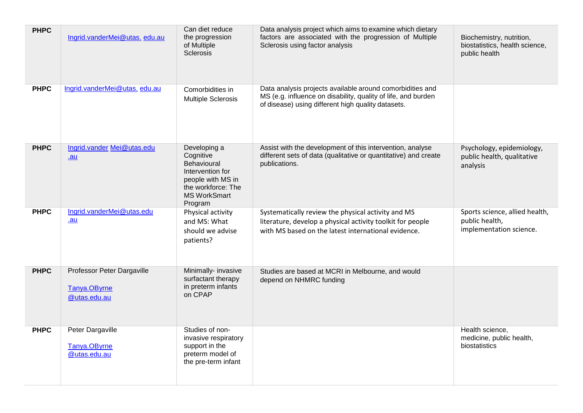| <b>PHPC</b> | Ingrid.vanderMei@utas.edu.au                               | Can diet reduce<br>the progression<br>of Multiple<br><b>Sclerosis</b>                                                                            | Data analysis project which aims to examine which dietary<br>factors are associated with the progression of Multiple<br>Sclerosis using factor analysis                          | Biochemistry, nutrition,<br>biostatistics, health science,<br>public health |
|-------------|------------------------------------------------------------|--------------------------------------------------------------------------------------------------------------------------------------------------|----------------------------------------------------------------------------------------------------------------------------------------------------------------------------------|-----------------------------------------------------------------------------|
| <b>PHPC</b> | Ingrid.vanderMei@utas.edu.au                               | Comorbidities in<br><b>Multiple Sclerosis</b>                                                                                                    | Data analysis projects available around comorbidities and<br>MS (e.g. influence on disability, quality of life, and burden<br>of disease) using different high quality datasets. |                                                                             |
| <b>PHPC</b> | Ingrid.vander Mei@utas.edu<br>.au                          | Developing a<br>Cognitive<br><b>Behavioural</b><br>Intervention for<br>people with MS in<br>the workforce: The<br><b>MS WorkSmart</b><br>Program | Assist with the development of this intervention, analyse<br>different sets of data (qualitative or quantitative) and create<br>publications.                                    | Psychology, epidemiology,<br>public health, qualitative<br>analysis         |
| <b>PHPC</b> | Ingrid.vanderMei@utas.edu<br><u>.au</u>                    | Physical activity<br>and MS: What<br>should we advise<br>patients?                                                                               | Systematically review the physical activity and MS<br>literature, develop a physical activity toolkit for people<br>with MS based on the latest international evidence.          | Sports science, allied health,<br>public health,<br>implementation science. |
| <b>PHPC</b> | Professor Peter Dargaville<br>Tanya.OByrne<br>@utas.edu.au | Minimally- invasive<br>surfactant therapy<br>in preterm infants<br>on CPAP                                                                       | Studies are based at MCRI in Melbourne, and would<br>depend on NHMRC funding                                                                                                     |                                                                             |
| <b>PHPC</b> | Peter Dargaville<br>Tanya.OByrne<br>@utas.edu.au           | Studies of non-<br>invasive respiratory<br>support in the<br>preterm model of<br>the pre-term infant                                             |                                                                                                                                                                                  | Health science,<br>medicine, public health,<br>biostatistics                |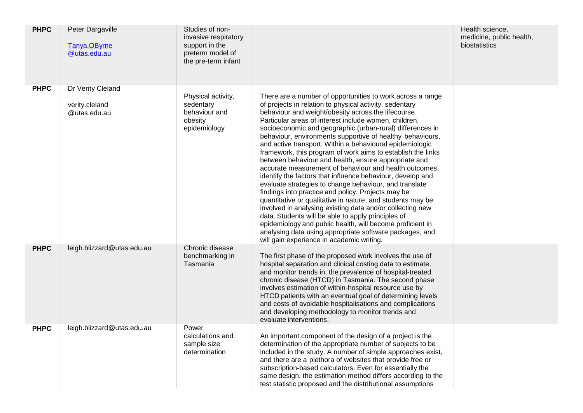| <b>PHPC</b> | Peter Dargaville<br>Tanya.OByrne<br>@utas.edu.au    | Studies of non-<br>invasive respiratory<br>support in the<br>preterm model of<br>the pre-term infant |                                                                                                                                                                                                                                                                                                                                                                                                                                                                                                                                                                                                                                                                                                                                                                                                                                                                                                                                                                                                                                                                                                                                                  | Health science,<br>medicine, public health,<br>biostatistics |
|-------------|-----------------------------------------------------|------------------------------------------------------------------------------------------------------|--------------------------------------------------------------------------------------------------------------------------------------------------------------------------------------------------------------------------------------------------------------------------------------------------------------------------------------------------------------------------------------------------------------------------------------------------------------------------------------------------------------------------------------------------------------------------------------------------------------------------------------------------------------------------------------------------------------------------------------------------------------------------------------------------------------------------------------------------------------------------------------------------------------------------------------------------------------------------------------------------------------------------------------------------------------------------------------------------------------------------------------------------|--------------------------------------------------------------|
| <b>PHPC</b> | Dr Verity Cleland<br>verity.cleland<br>@utas.edu.au | Physical activity,<br>sedentary<br>behaviour and<br>obesity<br>epidemiology                          | There are a number of opportunities to work across a range<br>of projects in relation to physical activity, sedentary<br>behaviour and weight/obesity across the lifecourse.<br>Particular areas of interest include women, children,<br>socioeconomic and geographic (urban-rural) differences in<br>behaviour, environments supportive of healthy behaviours,<br>and active transport. Within a behavioural epidemiologic<br>framework, this program of work aims to establish the links<br>between behaviour and health, ensure appropriate and<br>accurate measurement of behaviour and health outcomes,<br>identify the factors that influence behaviour, develop and<br>evaluate strategies to change behaviour, and translate<br>findings into practice and policy. Projects may be<br>quantitative or qualitative in nature, and students may be<br>involved in analysing existing data and/or collecting new<br>data. Students will be able to apply principles of<br>epidemiology and public health, will become proficient in<br>analysing data using appropriate software packages, and<br>will gain experience in academic writing. |                                                              |
| <b>PHPC</b> | leigh.blizzard@utas.edu.au                          | Chronic disease<br>benchmarking in<br>Tasmania                                                       | The first phase of the proposed work involves the use of<br>hospital separation and clinical costing data to estimate,<br>and monitor trends in, the prevalence of hospital-treated<br>chronic disease (HTCD) in Tasmania. The second phase<br>involves estimation of within-hospital resource use by<br>HTCD patients with an eventual goal of determining levels<br>and costs of avoidable hospitalisations and complications<br>and developing methodology to monitor trends and<br>evaluate interventions.                                                                                                                                                                                                                                                                                                                                                                                                                                                                                                                                                                                                                                   |                                                              |
| <b>PHPC</b> | leigh.blizzard@utas.edu.au                          | Power<br>calculations and<br>sample size<br>determination                                            | An important component of the design of a project is the<br>determination of the appropriate number of subjects to be<br>included in the study. A number of simple approaches exist,<br>and there are a plethora of websites that provide free or<br>subscription-based calculators. Even for essentially the<br>same design, the estimation method differs according to the<br>test statistic proposed and the distributional assumptions                                                                                                                                                                                                                                                                                                                                                                                                                                                                                                                                                                                                                                                                                                       |                                                              |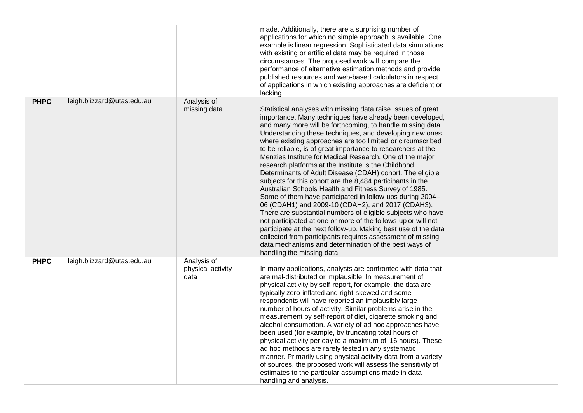|             |                            |                                          | made. Additionally, there are a surprising number of<br>applications for which no simple approach is available. One<br>example is linear regression. Sophisticated data simulations<br>with existing or artificial data may be required in those<br>circumstances. The proposed work will compare the<br>performance of alternative estimation methods and provide<br>published resources and web-based calculators in respect<br>of applications in which existing approaches are deficient or<br>lacking.                                                                                                                                                                                                                                                                                                                                                                                                                                                                                                                                                                                                                                                      |  |
|-------------|----------------------------|------------------------------------------|------------------------------------------------------------------------------------------------------------------------------------------------------------------------------------------------------------------------------------------------------------------------------------------------------------------------------------------------------------------------------------------------------------------------------------------------------------------------------------------------------------------------------------------------------------------------------------------------------------------------------------------------------------------------------------------------------------------------------------------------------------------------------------------------------------------------------------------------------------------------------------------------------------------------------------------------------------------------------------------------------------------------------------------------------------------------------------------------------------------------------------------------------------------|--|
| <b>PHPC</b> | leigh.blizzard@utas.edu.au | Analysis of<br>missing data              | Statistical analyses with missing data raise issues of great<br>importance. Many techniques have already been developed,<br>and many more will be forthcoming, to handle missing data.<br>Understanding these techniques, and developing new ones<br>where existing approaches are too limited or circumscribed<br>to be reliable, is of great importance to researchers at the<br>Menzies Institute for Medical Research. One of the major<br>research platforms at the Institute is the Childhood<br>Determinants of Adult Disease (CDAH) cohort. The eligible<br>subjects for this cohort are the 8,484 participants in the<br>Australian Schools Health and Fitness Survey of 1985.<br>Some of them have participated in follow-ups during 2004-<br>06 (CDAH1) and 2009-10 (CDAH2), and 2017 (CDAH3).<br>There are substantial numbers of eligible subjects who have<br>not participated at one or more of the follows-up or will not<br>participate at the next follow-up. Making best use of the data<br>collected from participants requires assessment of missing<br>data mechanisms and determination of the best ways of<br>handling the missing data. |  |
| <b>PHPC</b> | leigh.blizzard@utas.edu.au | Analysis of<br>physical activity<br>data | In many applications, analysts are confronted with data that<br>are mal-distributed or implausible. In measurement of<br>physical activity by self-report, for example, the data are<br>typically zero-inflated and right-skewed and some<br>respondents will have reported an implausibly large<br>number of hours of activity. Similar problems arise in the<br>measurement by self-report of diet, cigarette smoking and<br>alcohol consumption. A variety of ad hoc approaches have<br>been used (for example, by truncating total hours of<br>physical activity per day to a maximum of 16 hours). These<br>ad hoc methods are rarely tested in any systematic<br>manner. Primarily using physical activity data from a variety<br>of sources, the proposed work will assess the sensitivity of<br>estimates to the particular assumptions made in data<br>handling and analysis.                                                                                                                                                                                                                                                                           |  |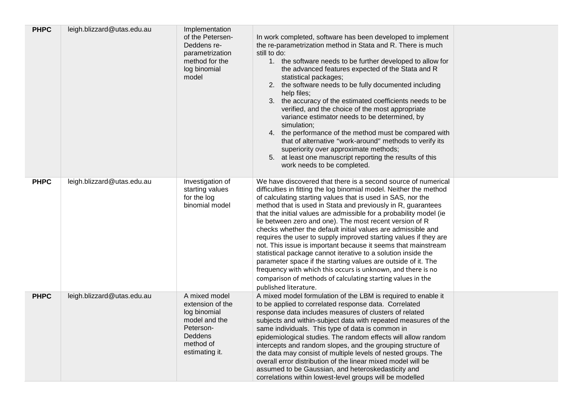| <b>PHPC</b> | leigh.blizzard@utas.edu.au | Implementation<br>of the Petersen-<br>Deddens re-<br>parametrization<br>method for the<br>log binomial<br>model           | In work completed, software has been developed to implement<br>the re-parametrization method in Stata and R. There is much<br>still to do:<br>1. the software needs to be further developed to allow for<br>the advanced features expected of the Stata and R<br>statistical packages;<br>2. the software needs to be fully documented including<br>help files;<br>3. the accuracy of the estimated coefficients needs to be<br>verified, and the choice of the most appropriate<br>variance estimator needs to be determined, by<br>simulation;<br>4. the performance of the method must be compared with<br>that of alternative "work-around" methods to verify its<br>superiority over approximate methods;<br>5. at least one manuscript reporting the results of this<br>work needs to be completed.                                                                                          |  |
|-------------|----------------------------|---------------------------------------------------------------------------------------------------------------------------|----------------------------------------------------------------------------------------------------------------------------------------------------------------------------------------------------------------------------------------------------------------------------------------------------------------------------------------------------------------------------------------------------------------------------------------------------------------------------------------------------------------------------------------------------------------------------------------------------------------------------------------------------------------------------------------------------------------------------------------------------------------------------------------------------------------------------------------------------------------------------------------------------|--|
| <b>PHPC</b> | leigh.blizzard@utas.edu.au | Investigation of<br>starting values<br>for the log<br>binomial model                                                      | We have discovered that there is a second source of numerical<br>difficulties in fitting the log binomial model. Neither the method<br>of calculating starting values that is used in SAS, nor the<br>method that is used in Stata and previously in R, guarantees<br>that the initial values are admissible for a probability model (ie<br>lie between zero and one). The most recent version of R<br>checks whether the default initial values are admissible and<br>requires the user to supply improved starting values if they are<br>not. This issue is important because it seems that mainstream<br>statistical package cannot iterative to a solution inside the<br>parameter space if the starting values are outside of it. The<br>frequency with which this occurs is unknown, and there is no<br>comparison of methods of calculating starting values in the<br>published literature. |  |
| <b>PHPC</b> | leigh.blizzard@utas.edu.au | A mixed model<br>extension of the<br>log binomial<br>model and the<br>Peterson-<br>Deddens<br>method of<br>estimating it. | A mixed model formulation of the LBM is required to enable it<br>to be applied to correlated response data. Correlated<br>response data includes measures of clusters of related<br>subjects and within-subject data with repeated measures of the<br>same individuals. This type of data is common in<br>epidemiological studies. The random effects will allow random<br>intercepts and random slopes, and the grouping structure of<br>the data may consist of multiple levels of nested groups. The<br>overall error distribution of the linear mixed model will be<br>assumed to be Gaussian, and heteroskedasticity and<br>correlations within lowest-level groups will be modelled                                                                                                                                                                                                          |  |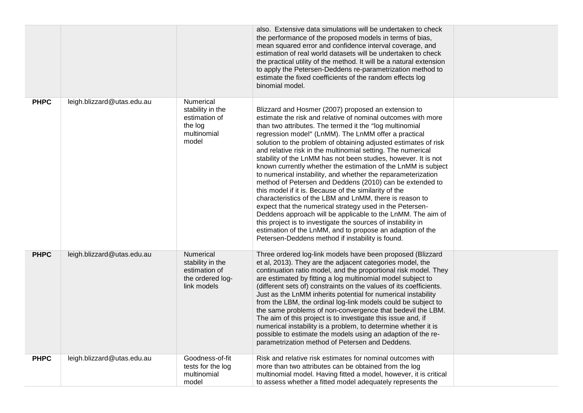|             |                            |                                                                                          | also. Extensive data simulations will be undertaken to check<br>the performance of the proposed models in terms of bias,<br>mean squared error and confidence interval coverage, and<br>estimation of real world datasets will be undertaken to check<br>the practical utility of the method. It will be a natural extension<br>to apply the Petersen-Deddens re-parametrization method to<br>estimate the fixed coefficients of the random effects log<br>binomial model.                                                                                                                                                                                                                                                                                                                                                                                                                                                                                                                                                                                              |  |
|-------------|----------------------------|------------------------------------------------------------------------------------------|-------------------------------------------------------------------------------------------------------------------------------------------------------------------------------------------------------------------------------------------------------------------------------------------------------------------------------------------------------------------------------------------------------------------------------------------------------------------------------------------------------------------------------------------------------------------------------------------------------------------------------------------------------------------------------------------------------------------------------------------------------------------------------------------------------------------------------------------------------------------------------------------------------------------------------------------------------------------------------------------------------------------------------------------------------------------------|--|
| <b>PHPC</b> | leigh.blizzard@utas.edu.au | <b>Numerical</b><br>stability in the<br>estimation of<br>the log<br>multinomial<br>model | Blizzard and Hosmer (2007) proposed an extension to<br>estimate the risk and relative of nominal outcomes with more<br>than two attributes. The termed it the "log multinomial<br>regression model" (LnMM). The LnMM offer a practical<br>solution to the problem of obtaining adjusted estimates of risk<br>and relative risk in the multinomial setting. The numerical<br>stability of the LnMM has not been studies, however. It is not<br>known currently whether the estimation of the LnMM is subject<br>to numerical instability, and whether the reparameterization<br>method of Petersen and Deddens (2010) can be extended to<br>this model if it is. Because of the similarity of the<br>characteristics of the LBM and LnMM, there is reason to<br>expect that the numerical strategy used in the Petersen-<br>Deddens approach will be applicable to the LnMM. The aim of<br>this project is to investigate the sources of instability in<br>estimation of the LnMM, and to propose an adaption of the<br>Petersen-Deddens method if instability is found. |  |
| <b>PHPC</b> | leigh.blizzard@utas.edu.au | <b>Numerical</b><br>stability in the<br>estimation of<br>the ordered log-<br>link models | Three ordered log-link models have been proposed (Blizzard<br>et al, 2013). They are the adjacent categories model, the<br>continuation ratio model, and the proportional risk model. They<br>are estimated by fitting a log multinomial model subject to<br>(different sets of) constraints on the values of its coefficients.<br>Just as the LnMM inherits potential for numerical instability<br>from the LBM, the ordinal log-link models could be subject to<br>the same problems of non-convergence that bedevil the LBM.<br>The aim of this project is to investigate this issue and, if<br>numerical instability is a problem, to determine whether it is<br>possible to estimate the models using an adaption of the re-<br>parametrization method of Petersen and Deddens.                                                                                                                                                                                                                                                                                    |  |
| <b>PHPC</b> | leigh.blizzard@utas.edu.au | Goodness-of-fit<br>tests for the log<br>multinomial<br>model                             | Risk and relative risk estimates for nominal outcomes with<br>more than two attributes can be obtained from the log<br>multinomial model. Having fitted a model, however, it is critical<br>to assess whether a fitted model adequately represents the                                                                                                                                                                                                                                                                                                                                                                                                                                                                                                                                                                                                                                                                                                                                                                                                                  |  |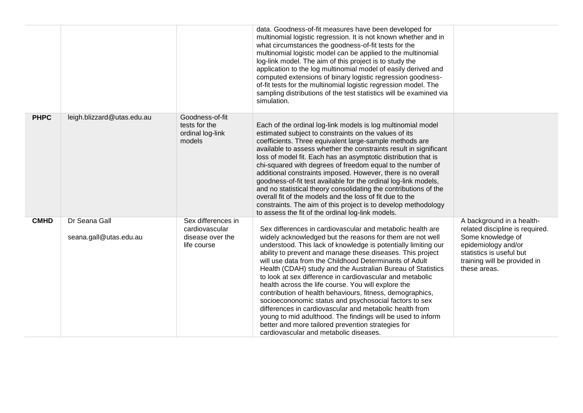|             |                                         |                                                                         | data. Goodness-of-fit measures have been developed for<br>multinomial logistic regression. It is not known whether and in<br>what circumstances the goodness-of-fit tests for the<br>multinomial logistic model can be applied to the multinomial<br>log-link model. The aim of this project is to study the<br>application to the log multinomial model of easily derived and<br>computed extensions of binary logistic regression goodness-<br>of-fit tests for the multinomial logistic regression model. The<br>sampling distributions of the test statistics will be examined via<br>simulation.                                                                                                                                                                                                                                                 |                                                                                                                                                                                      |
|-------------|-----------------------------------------|-------------------------------------------------------------------------|-------------------------------------------------------------------------------------------------------------------------------------------------------------------------------------------------------------------------------------------------------------------------------------------------------------------------------------------------------------------------------------------------------------------------------------------------------------------------------------------------------------------------------------------------------------------------------------------------------------------------------------------------------------------------------------------------------------------------------------------------------------------------------------------------------------------------------------------------------|--------------------------------------------------------------------------------------------------------------------------------------------------------------------------------------|
| <b>PHPC</b> | leigh.blizzard@utas.edu.au              | Goodness-of-fit<br>tests for the<br>ordinal log-link<br>models          | Each of the ordinal log-link models is log multinomial model<br>estimated subject to constraints on the values of its<br>coefficients. Three equivalent large-sample methods are<br>available to assess whether the constraints result in significant<br>loss of model fit. Each has an asymptotic distribution that is<br>chi-squared with degrees of freedom equal to the number of<br>additional constraints imposed. However, there is no overall<br>goodness-of-fit test available for the ordinal log-link models,<br>and no statistical theory consolidating the contributions of the<br>overall fit of the models and the loss of fit due to the<br>constraints. The aim of this project is to develop methodology<br>to assess the fit of the ordinal log-link models.                                                                       |                                                                                                                                                                                      |
| <b>CMHD</b> | Dr Seana Gall<br>seana.gall@utas.edu.au | Sex differences in<br>cardiovascular<br>disease over the<br>life course | Sex differences in cardiovascular and metabolic health are<br>widely acknowledged but the reasons for them are not well<br>understood. This lack of knowledge is potentially limiting our<br>ability to prevent and manage these diseases. This project<br>will use data from the Childhood Determinants of Adult<br>Health (CDAH) study and the Australian Bureau of Statistics<br>to look at sex difference in cardiovascular and metabolic<br>health across the life course. You will explore the<br>contribution of health behaviours, fitness, demographics,<br>socioecononomic status and psychosocial factors to sex<br>differences in cardiovascular and metabolic health from<br>young to mid adulthood. The findings will be used to inform<br>better and more tailored prevention strategies for<br>cardiovascular and metabolic diseases. | A background in a health-<br>related discipline is required.<br>Some knowledge of<br>epidemiology and/or<br>statistics is useful but<br>training will be provided in<br>these areas. |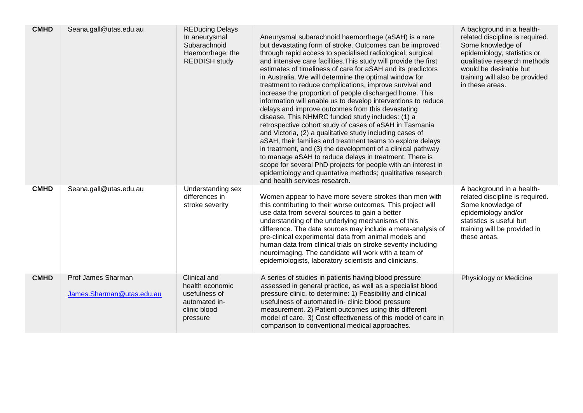| <b>CMHD</b> | Seana.gall@utas.edu.au                          | <b>REDucing Delays</b><br>In aneurysmal<br>Subarachnoid<br>Haemorrhage: the<br><b>REDDISH study</b> | Aneurysmal subarachnoid haemorrhage (aSAH) is a rare<br>but devastating form of stroke. Outcomes can be improved<br>through rapid access to specialised radiological, surgical<br>and intensive care facilities. This study will provide the first<br>estimates of timeliness of care for aSAH and its predictors<br>in Australia. We will determine the optimal window for<br>treatment to reduce complications, improve survival and<br>increase the proportion of people discharged home. This<br>information will enable us to develop interventions to reduce<br>delays and improve outcomes from this devastating<br>disease. This NHMRC funded study includes: (1) a<br>retrospective cohort study of cases of aSAH in Tasmania<br>and Victoria, (2) a qualitative study including cases of<br>aSAH, their families and treatment teams to explore delays<br>in treatment, and (3) the development of a clinical pathway<br>to manage aSAH to reduce delays in treatment. There is<br>scope for several PhD projects for people with an interest in<br>epidemiology and quantative methods; qualtitative research<br>and health services research. | A background in a health-<br>related discipline is required.<br>Some knowledge of<br>epidemiology, statistics or<br>qualitative research methods<br>would be desirable but<br>training will also be provided<br>in these areas. |
|-------------|-------------------------------------------------|-----------------------------------------------------------------------------------------------------|-----------------------------------------------------------------------------------------------------------------------------------------------------------------------------------------------------------------------------------------------------------------------------------------------------------------------------------------------------------------------------------------------------------------------------------------------------------------------------------------------------------------------------------------------------------------------------------------------------------------------------------------------------------------------------------------------------------------------------------------------------------------------------------------------------------------------------------------------------------------------------------------------------------------------------------------------------------------------------------------------------------------------------------------------------------------------------------------------------------------------------------------------------------|---------------------------------------------------------------------------------------------------------------------------------------------------------------------------------------------------------------------------------|
| <b>CMHD</b> | Seana.gall@utas.edu.au                          | Understanding sex<br>differences in<br>stroke severity                                              | Women appear to have more severe strokes than men with<br>this contributing to their worse outcomes. This project will<br>use data from several sources to gain a better<br>understanding of the underlying mechanisms of this<br>difference. The data sources may include a meta-analysis of<br>pre-clinical experimental data from animal models and<br>human data from clinical trials on stroke severity including<br>neuroimaging. The candidate will work with a team of<br>epidemiologists, laboratory scientists and clinicians.                                                                                                                                                                                                                                                                                                                                                                                                                                                                                                                                                                                                                  | A background in a health-<br>related discipline is required.<br>Some knowledge of<br>epidemiology and/or<br>statistics is useful but<br>training will be provided in<br>these areas.                                            |
| <b>CMHD</b> | Prof James Sharman<br>James.Sharman@utas.edu.au | Clinical and<br>health economic<br>usefulness of<br>automated in-<br>clinic blood<br>pressure       | A series of studies in patients having blood pressure<br>assessed in general practice, as well as a specialist blood<br>pressure clinic, to determine: 1) Feasibility and clinical<br>usefulness of automated in- clinic blood pressure<br>measurement. 2) Patient outcomes using this different<br>model of care. 3) Cost effectiveness of this model of care in<br>comparison to conventional medical approaches.                                                                                                                                                                                                                                                                                                                                                                                                                                                                                                                                                                                                                                                                                                                                       | Physiology or Medicine                                                                                                                                                                                                          |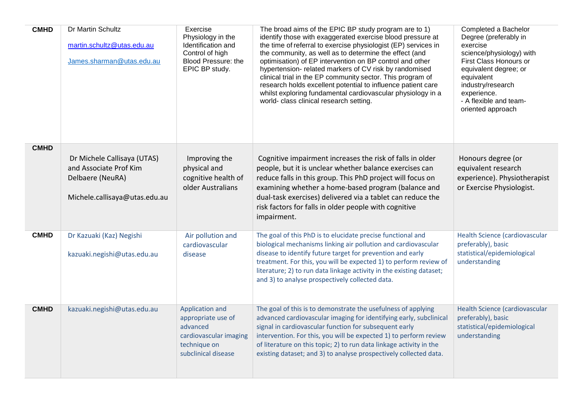| <b>CMHD</b> | Dr Martin Schultz<br>martin.schultz@utas.edu.au<br>James.sharman@utas.edu.au                               | Exercise<br>Physiology in the<br>Identification and<br>Control of high<br>Blood Pressure: the<br>EPIC BP study.    | The broad aims of the EPIC BP study program are to 1)<br>identify those with exaggerated exercise blood pressure at<br>the time of referral to exercise physiologist (EP) services in<br>the community, as well as to determine the effect (and<br>optimisation) of EP intervention on BP control and other<br>hypertension- related markers of CV risk by randomised<br>clinical trial in the EP community sector. This program of<br>research holds excellent potential to influence patient care<br>whilst exploring fundamental cardiovascular physiology in a<br>world- class clinical research setting. | Completed a Bachelor<br>Degree (preferably in<br>exercise<br>science/physiology) with<br>First Class Honours or<br>equivalent degree; or<br>equivalent<br>industry/research<br>experience.<br>- A flexible and team-<br>oriented approach |
|-------------|------------------------------------------------------------------------------------------------------------|--------------------------------------------------------------------------------------------------------------------|---------------------------------------------------------------------------------------------------------------------------------------------------------------------------------------------------------------------------------------------------------------------------------------------------------------------------------------------------------------------------------------------------------------------------------------------------------------------------------------------------------------------------------------------------------------------------------------------------------------|-------------------------------------------------------------------------------------------------------------------------------------------------------------------------------------------------------------------------------------------|
| <b>CMHD</b> | Dr Michele Callisaya (UTAS)<br>and Associate Prof Kim<br>Delbaere (NeuRA)<br>Michele.callisaya@utas.edu.au | Improving the<br>physical and<br>cognitive health of<br>older Australians                                          | Cognitive impairment increases the risk of falls in older<br>people, but it is unclear whether balance exercises can<br>reduce falls in this group. This PhD project will focus on<br>examining whether a home-based program (balance and<br>dual-task exercises) delivered via a tablet can reduce the<br>risk factors for falls in older people with cognitive<br>impairment.                                                                                                                                                                                                                               | Honours degree (or<br>equivalent research<br>experience). Physiotherapist<br>or Exercise Physiologist.                                                                                                                                    |
| <b>CMHD</b> | Dr Kazuaki (Kaz) Negishi<br>kazuaki.negishi@utas.edu.au                                                    | Air pollution and<br>cardiovascular<br>disease                                                                     | The goal of this PhD is to elucidate precise functional and<br>biological mechanisms linking air pollution and cardiovascular<br>disease to identify future target for prevention and early<br>treatment. For this, you will be expected 1) to perform review of<br>literature; 2) to run data linkage activity in the existing dataset;<br>and 3) to analyse prospectively collected data.                                                                                                                                                                                                                   | Health Science (cardiovascular<br>preferably), basic<br>statistical/epidemiological<br>understanding                                                                                                                                      |
| <b>CMHD</b> | kazuaki.negishi@utas.edu.au                                                                                | Application and<br>appropriate use of<br>advanced<br>cardiovascular imaging<br>technique on<br>subclinical disease | The goal of this is to demonstrate the usefulness of applying<br>advanced cardiovascular imaging for identifying early, subclinical<br>signal in cardiovascular function for subsequent early<br>intervention. For this, you will be expected 1) to perform review<br>of literature on this topic; 2) to run data linkage activity in the<br>existing dataset; and 3) to analyse prospectively collected data.                                                                                                                                                                                                | Health Science (cardiovascular<br>preferably), basic<br>statistical/epidemiological<br>understanding                                                                                                                                      |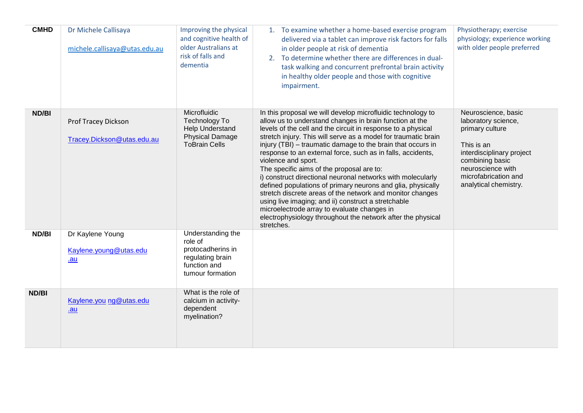| <b>CMHD</b> | Dr Michele Callisaya<br>michele.callisaya@utas.edu.au    | Improving the physical<br>and cognitive health of<br>older Australians at<br>risk of falls and<br>dementia | 1. To examine whether a home-based exercise program<br>delivered via a tablet can improve risk factors for falls<br>in older people at risk of dementia<br>2. To determine whether there are differences in dual-<br>task walking and concurrent prefrontal brain activity<br>in healthy older people and those with cognitive<br>impairment.                                                                                                                                                                                                                                                                                                                                                                                                                                                                                            | Physiotherapy; exercise<br>physiology; experience working<br>with older people preferred                                                                                                          |
|-------------|----------------------------------------------------------|------------------------------------------------------------------------------------------------------------|------------------------------------------------------------------------------------------------------------------------------------------------------------------------------------------------------------------------------------------------------------------------------------------------------------------------------------------------------------------------------------------------------------------------------------------------------------------------------------------------------------------------------------------------------------------------------------------------------------------------------------------------------------------------------------------------------------------------------------------------------------------------------------------------------------------------------------------|---------------------------------------------------------------------------------------------------------------------------------------------------------------------------------------------------|
| ND/BI       | <b>Prof Tracey Dickson</b><br>Tracey.Dickson@utas.edu.au | Microfluidic<br>Technology To<br>Help Understand<br><b>Physical Damage</b><br><b>ToBrain Cells</b>         | In this proposal we will develop microfluidic technology to<br>allow us to understand changes in brain function at the<br>levels of the cell and the circuit in response to a physical<br>stretch injury. This will serve as a model for traumatic brain<br>injury (TBI) - traumatic damage to the brain that occurs in<br>response to an external force, such as in falls, accidents,<br>violence and sport.<br>The specific aims of the proposal are to:<br>i) construct directional neuronal networks with molecularly<br>defined populations of primary neurons and glia, physically<br>stretch discrete areas of the network and monitor changes<br>using live imaging; and ii) construct a stretchable<br>microelectrode array to evaluate changes in<br>electrophysiology throughout the network after the physical<br>stretches. | Neuroscience, basic<br>laboratory science,<br>primary culture<br>This is an<br>interdisciplinary project<br>combining basic<br>neuroscience with<br>microfabrication and<br>analytical chemistry. |
| ND/BI       | Dr Kaylene Young<br>Kaylene.young@utas.edu<br>.au        | Understanding the<br>role of<br>protocadherins in<br>regulating brain<br>function and<br>tumour formation  |                                                                                                                                                                                                                                                                                                                                                                                                                                                                                                                                                                                                                                                                                                                                                                                                                                          |                                                                                                                                                                                                   |
| ND/BI       | Kaylene.you ng@utas.edu<br>$au$                          | What is the role of<br>calcium in activity-<br>dependent<br>myelination?                                   |                                                                                                                                                                                                                                                                                                                                                                                                                                                                                                                                                                                                                                                                                                                                                                                                                                          |                                                                                                                                                                                                   |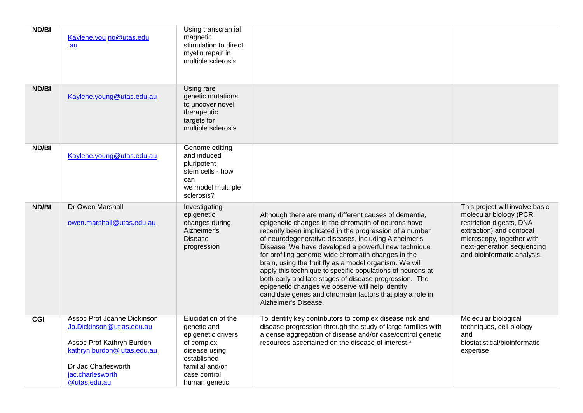| ND/BI | Kaylene.you ng@utas.edu<br>.au                                                                                                                                                 | Using transcran ial<br>magnetic<br>stimulation to direct<br>myelin repair in<br>multiple sclerosis                                                        |                                                                                                                                                                                                                                                                                                                                                                                                                                                                                                                                                                                                                                                                          |                                                                                                                                                                                                              |
|-------|--------------------------------------------------------------------------------------------------------------------------------------------------------------------------------|-----------------------------------------------------------------------------------------------------------------------------------------------------------|--------------------------------------------------------------------------------------------------------------------------------------------------------------------------------------------------------------------------------------------------------------------------------------------------------------------------------------------------------------------------------------------------------------------------------------------------------------------------------------------------------------------------------------------------------------------------------------------------------------------------------------------------------------------------|--------------------------------------------------------------------------------------------------------------------------------------------------------------------------------------------------------------|
| ND/BI | Kaylene.young@utas.edu.au                                                                                                                                                      | Using rare<br>genetic mutations<br>to uncover novel<br>therapeutic<br>targets for<br>multiple sclerosis                                                   |                                                                                                                                                                                                                                                                                                                                                                                                                                                                                                                                                                                                                                                                          |                                                                                                                                                                                                              |
| ND/BI | Kaylene.young@utas.edu.au                                                                                                                                                      | Genome editing<br>and induced<br>pluripotent<br>stem cells - how<br>can<br>we model multi ple<br>sclerosis?                                               |                                                                                                                                                                                                                                                                                                                                                                                                                                                                                                                                                                                                                                                                          |                                                                                                                                                                                                              |
| ND/BI | Dr Owen Marshall<br>owen.marshall@utas.edu.au                                                                                                                                  | Investigating<br>epigenetic<br>changes during<br>Alzheimer's<br><b>Disease</b><br>progression                                                             | Although there are many different causes of dementia,<br>epigenetic changes in the chromatin of neurons have<br>recently been implicated in the progression of a number<br>of neurodegenerative diseases, including Alzheimer's<br>Disease. We have developed a powerful new technique<br>for profiling genome-wide chromatin changes in the<br>brain, using the fruit fly as a model organism. We will<br>apply this technique to specific populations of neurons at<br>both early and late stages of disease progression. The<br>epigenetic changes we observe will help identify<br>candidate genes and chromatin factors that play a role in<br>Alzheimer's Disease. | This project will involve basic<br>molecular biology (PCR,<br>restriction digests, DNA<br>extraction) and confocal<br>microscopy, together with<br>next-generation sequencing<br>and bioinformatic analysis. |
| CGI   | Assoc Prof Joanne Dickinson<br>Jo.Dickinson@ut as.edu.au<br>Assoc Prof Kathryn Burdon<br>kathryn.burdon@utas.edu.au<br>Dr Jac Charlesworth<br>jac.charlesworth<br>@utas.edu.au | Elucidation of the<br>genetic and<br>epigenetic drivers<br>of complex<br>disease using<br>established<br>familial and/or<br>case control<br>human genetic | To identify key contributors to complex disease risk and<br>disease progression through the study of large families with<br>a dense aggregation of disease and/or case/control genetic<br>resources ascertained on the disease of interest.*                                                                                                                                                                                                                                                                                                                                                                                                                             | Molecular biological<br>techniques, cell biology<br>and<br>biostatistical/bioinformatic<br>expertise                                                                                                         |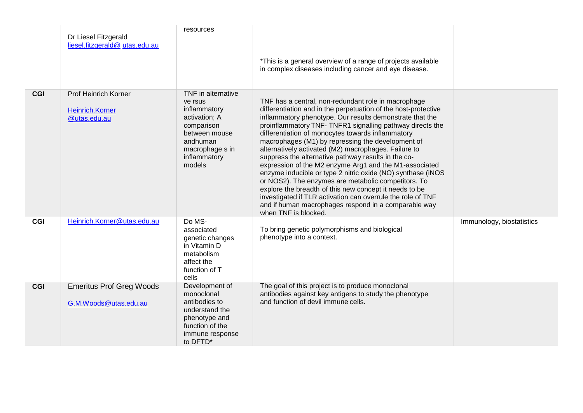|            | Dr Liesel Fitzgerald<br>liesel.fitzgerald@utas.edu.au                 | resources                                                                                                                                              | *This is a general overview of a range of projects available<br>in complex diseases including cancer and eye disease.                                                                                                                                                                                                                                                                                                                                                                                                                                                                                                                                                                                                                                                                                                                                            |                           |
|------------|-----------------------------------------------------------------------|--------------------------------------------------------------------------------------------------------------------------------------------------------|------------------------------------------------------------------------------------------------------------------------------------------------------------------------------------------------------------------------------------------------------------------------------------------------------------------------------------------------------------------------------------------------------------------------------------------------------------------------------------------------------------------------------------------------------------------------------------------------------------------------------------------------------------------------------------------------------------------------------------------------------------------------------------------------------------------------------------------------------------------|---------------------------|
| <b>CGI</b> | <b>Prof Heinrich Korner</b><br><b>Heinrich.Korner</b><br>@utas.edu.au | TNF in alternative<br>ve rsus<br>inflammatory<br>activation; A<br>comparison<br>between mouse<br>andhuman<br>macrophage s in<br>inflammatory<br>models | TNF has a central, non-redundant role in macrophage<br>differentiation and in the perpetuation of the host-protective<br>inflammatory phenotype. Our results demonstrate that the<br>proinflammatory TNF- TNFR1 signalling pathway directs the<br>differentiation of monocytes towards inflammatory<br>macrophages (M1) by repressing the development of<br>alternatively activated (M2) macrophages. Failure to<br>suppress the alternative pathway results in the co-<br>expression of the M2 enzyme Arg1 and the M1-associated<br>enzyme inducible or type 2 nitric oxide (NO) synthase (iNOS<br>or NOS2). The enzymes are metabolic competitors. To<br>explore the breadth of this new concept it needs to be<br>investigated if TLR activation can overrule the role of TNF<br>and if human macrophages respond in a comparable way<br>when TNF is blocked. |                           |
| <b>CGI</b> | Heinrich.Korner@utas.edu.au                                           | Do MS-<br>associated<br>genetic changes<br>in Vitamin D<br>metabolism<br>affect the<br>function of T<br>cells                                          | To bring genetic polymorphisms and biological<br>phenotype into a context.                                                                                                                                                                                                                                                                                                                                                                                                                                                                                                                                                                                                                                                                                                                                                                                       | Immunology, biostatistics |
| <b>CGI</b> | <b>Emeritus Prof Greg Woods</b><br>G.M.Woods@utas.edu.au              | Development of<br>monoclonal<br>antibodies to<br>understand the<br>phenotype and<br>function of the<br>immune response<br>to DFTD*                     | The goal of this project is to produce monoclonal<br>antibodies against key antigens to study the phenotype<br>and function of devil immune cells.                                                                                                                                                                                                                                                                                                                                                                                                                                                                                                                                                                                                                                                                                                               |                           |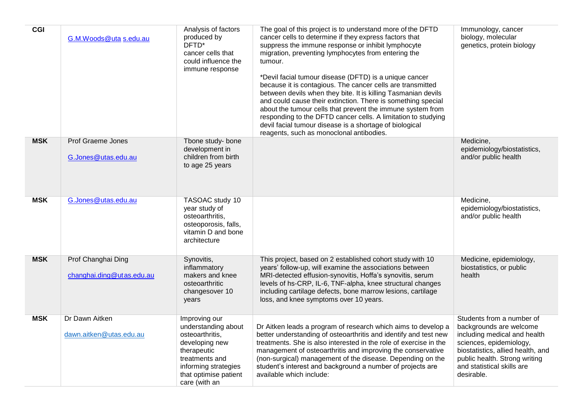| <b>CGI</b> | G.M.Woods@uta s.edu.au                          | Analysis of factors<br>produced by<br>DFTD*<br>cancer cells that<br>could influence the<br>immune response                                                                   | The goal of this project is to understand more of the DFTD<br>cancer cells to determine if they express factors that<br>suppress the immune response or inhibit lymphocyte<br>migration, preventing lymphocytes from entering the<br>tumour.<br>*Devil facial tumour disease (DFTD) is a unique cancer<br>because it is contagious. The cancer cells are transmitted<br>between devils when they bite. It is killing Tasmanian devils<br>and could cause their extinction. There is something special<br>about the tumour cells that prevent the immune system from<br>responding to the DFTD cancer cells. A limitation to studying<br>devil facial tumour disease is a shortage of biological<br>reagents, such as monoclonal antibodies. | Immunology, cancer<br>biology, molecular<br>genetics, protein biology                                                                                                                                                             |
|------------|-------------------------------------------------|------------------------------------------------------------------------------------------------------------------------------------------------------------------------------|---------------------------------------------------------------------------------------------------------------------------------------------------------------------------------------------------------------------------------------------------------------------------------------------------------------------------------------------------------------------------------------------------------------------------------------------------------------------------------------------------------------------------------------------------------------------------------------------------------------------------------------------------------------------------------------------------------------------------------------------|-----------------------------------------------------------------------------------------------------------------------------------------------------------------------------------------------------------------------------------|
| <b>MSK</b> | <b>Prof Graeme Jones</b><br>G.Jones@utas.edu.au | Tbone study- bone<br>development in<br>children from birth<br>to age 25 years                                                                                                |                                                                                                                                                                                                                                                                                                                                                                                                                                                                                                                                                                                                                                                                                                                                             | Medicine,<br>epidemiology/biostatistics,<br>and/or public health                                                                                                                                                                  |
| <b>MSK</b> | G.Jones@utas.edu.au                             | TASOAC study 10<br>year study of<br>osteoarthritis,<br>osteoporosis, falls,<br>vitamin D and bone<br>architecture                                                            |                                                                                                                                                                                                                                                                                                                                                                                                                                                                                                                                                                                                                                                                                                                                             | Medicine,<br>epidemiology/biostatistics,<br>and/or public health                                                                                                                                                                  |
| <b>MSK</b> | Prof Changhai Ding<br>changhai.ding@utas.edu.au | Synovitis,<br>inflammatory<br>makers and knee<br>osteoarthritic<br>changesover 10<br>years                                                                                   | This project, based on 2 established cohort study with 10<br>years' follow-up, will examine the associations between<br>MRI-detected effusion-synovitis, Hoffa's synovitis, serum<br>levels of hs-CRP, IL-6, TNF-alpha, knee structural changes<br>including cartilage defects, bone marrow lesions, cartilage<br>loss, and knee symptoms over 10 years.                                                                                                                                                                                                                                                                                                                                                                                    | Medicine, epidemiology,<br>biostatistics, or public<br>health                                                                                                                                                                     |
| <b>MSK</b> | Dr Dawn Aitken<br>dawn.aitken@utas.edu.au       | Improving our<br>understanding about<br>osteoarthritis,<br>developing new<br>therapeutic<br>treatments and<br>informing strategies<br>that optimise patient<br>care (with an | Dr Aitken leads a program of research which aims to develop a<br>better understanding of osteoarthritis and identify and test new<br>treatments. She is also interested in the role of exercise in the<br>management of osteoarthritis and improving the conservative<br>(non-surgical) management of the disease. Depending on the<br>student's interest and background a number of projects are<br>available which include:                                                                                                                                                                                                                                                                                                               | Students from a number of<br>backgrounds are welcome<br>including medical and health<br>sciences, epidemiology,<br>biostatistics, allied health, and<br>public health. Strong writing<br>and statistical skills are<br>desirable. |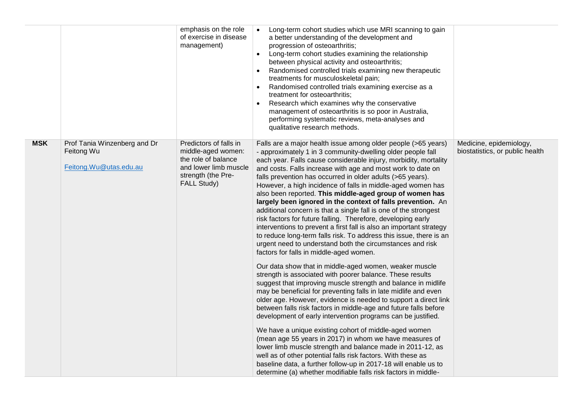|            |                                                                      | emphasis on the role<br>of exercise in disease<br>management)                                                                            | Long-term cohort studies which use MRI scanning to gain<br>a better understanding of the development and<br>progression of osteoarthritis;<br>Long-term cohort studies examining the relationship<br>$\bullet$<br>between physical activity and osteoarthritis;<br>Randomised controlled trials examining new therapeutic<br>treatments for musculoskeletal pain;<br>Randomised controlled trials examining exercise as a<br>$\bullet$<br>treatment for osteoarthritis;<br>Research which examines why the conservative<br>management of osteoarthritis is so poor in Australia,<br>performing systematic reviews, meta-analyses and<br>qualitative research methods.                                                                                                                                                                                                                                           |                                                            |
|------------|----------------------------------------------------------------------|------------------------------------------------------------------------------------------------------------------------------------------|-----------------------------------------------------------------------------------------------------------------------------------------------------------------------------------------------------------------------------------------------------------------------------------------------------------------------------------------------------------------------------------------------------------------------------------------------------------------------------------------------------------------------------------------------------------------------------------------------------------------------------------------------------------------------------------------------------------------------------------------------------------------------------------------------------------------------------------------------------------------------------------------------------------------|------------------------------------------------------------|
| <b>MSK</b> | Prof Tania Winzenberg and Dr<br>Feitong Wu<br>Feitong.Wu@utas.edu.au | Predictors of falls in<br>middle-aged women:<br>the role of balance<br>and lower limb muscle<br>strength (the Pre-<br><b>FALL Study)</b> | Falls are a major health issue among older people (>65 years)<br>- approximately 1 in 3 community-dwelling older people fall<br>each year. Falls cause considerable injury, morbidity, mortality<br>and costs. Falls increase with age and most work to date on<br>falls prevention has occurred in older adults (>65 years).<br>However, a high incidence of falls in middle-aged women has<br>also been reported. This middle-aged group of women has<br>largely been ignored in the context of falls prevention. An<br>additional concern is that a single fall is one of the strongest<br>risk factors for future falling. Therefore, developing early<br>interventions to prevent a first fall is also an important strategy<br>to reduce long-term falls risk. To address this issue, there is an<br>urgent need to understand both the circumstances and risk<br>factors for falls in middle-aged women. | Medicine, epidemiology,<br>biostatistics, or public health |
|            |                                                                      |                                                                                                                                          | Our data show that in middle-aged women, weaker muscle<br>strength is associated with poorer balance. These results<br>suggest that improving muscle strength and balance in midlife<br>may be beneficial for preventing falls in late midlife and even<br>older age. However, evidence is needed to support a direct link<br>between falls risk factors in middle-age and future falls before<br>development of early intervention programs can be justified.<br>We have a unique existing cohort of middle-aged women<br>(mean age 55 years in 2017) in whom we have measures of<br>lower limb muscle strength and balance made in 2011-12, as<br>well as of other potential falls risk factors. With these as<br>baseline data, a further follow-up in 2017-18 will enable us to<br>determine (a) whether modifiable falls risk factors in middle-                                                           |                                                            |